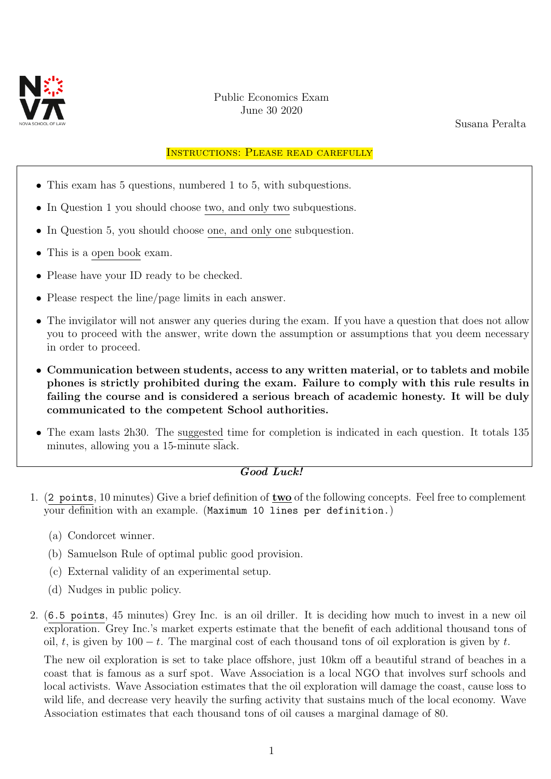

## Public Economics Exam June 30 2020

Susana Peralta

## Instructions: Please read carefully

- This exam has 5 questions, numbered 1 to 5, with subquestions.
- In Question 1 you should choose two, and only two subquestions.
- In Question 5, you should choose one, and only one subquestion.
- This is a open book exam.
- Please have your ID ready to be checked.
- Please respect the line/page limits in each answer.
- The invigilator will not answer any queries during the exam. If you have a question that does not allow you to proceed with the answer, write down the assumption or assumptions that you deem necessary in order to proceed.
- Communication between students, access to any written material, or to tablets and mobile phones is strictly prohibited during the exam. Failure to comply with this rule results in failing the course and is considered a serious breach of academic honesty. It will be duly communicated to the competent School authorities.
- The exam lasts 2h30. The suggested time for completion is indicated in each question. It totals 135 minutes, allowing you a 15-minute slack.

## Good Luck!

- 1. (2 points, 10 minutes) Give a brief definition of two of the following concepts. Feel free to complement your definition with an example. (Maximum 10 lines per definition.)
	- (a) Condorcet winner.
	- (b) Samuelson Rule of optimal public good provision.
	- (c) External validity of an experimental setup.
	- (d) Nudges in public policy.
- 2. (6.5 points, 45 minutes) Grey Inc. is an oil driller. It is deciding how much to invest in a new oil exploration. Grey Inc.'s market experts estimate that the benefit of each additional thousand tons of oil, t, is given by  $100 - t$ . The marginal cost of each thousand tons of oil exploration is given by t.

The new oil exploration is set to take place offshore, just 10km off a beautiful strand of beaches in a coast that is famous as a surf spot. Wave Association is a local NGO that involves surf schools and local activists. Wave Association estimates that the oil exploration will damage the coast, cause loss to wild life, and decrease very heavily the surfing activity that sustains much of the local economy. Wave Association estimates that each thousand tons of oil causes a marginal damage of 80.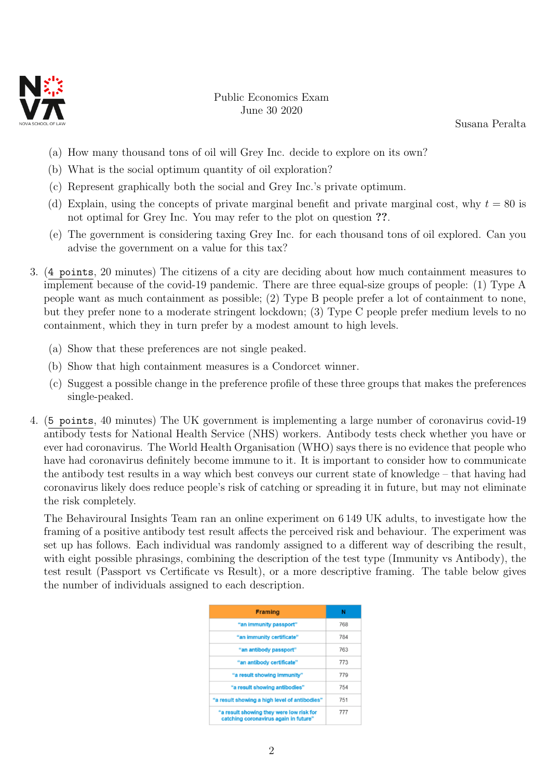

Public Economics Exam June 30 2020

Susana Peralta

- (a) How many thousand tons of oil will Grey Inc. decide to explore on its own?
- (b) What is the social optimum quantity of oil exploration?
- (c) Represent graphically both the social and Grey Inc.'s private optimum.
- (d) Explain, using the concepts of private marginal benefit and private marginal cost, why  $t = 80$  is not optimal for Grey Inc. You may refer to the plot on question ??.
- (e) The government is considering taxing Grey Inc. for each thousand tons of oil explored. Can you advise the government on a value for this tax?
- 3. (4 points, 20 minutes) The citizens of a city are deciding about how much containment measures to implement because of the covid-19 pandemic. There are three equal-size groups of people: (1) Type A people want as much containment as possible; (2) Type B people prefer a lot of containment to none, but they prefer none to a moderate stringent lockdown; (3) Type C people prefer medium levels to no containment, which they in turn prefer by a modest amount to high levels.
	- (a) Show that these preferences are not single peaked.
	- (b) Show that high containment measures is a Condorcet winner.
	- (c) Suggest a possible change in the preference profile of these three groups that makes the preferences single-peaked.
- 4. (5 points, 40 minutes) The UK government is implementing a large number of coronavirus covid-19 antibody tests for National Health Service (NHS) workers. Antibody tests check whether you have or ever had coronavirus. The World Health Organisation (WHO) says there is no evidence that people who have had coronavirus definitely become immune to it. It is important to consider how to communicate the antibody test results in a way which best conveys our current state of knowledge – that having had coronavirus likely does reduce people's risk of catching or spreading it in future, but may not eliminate the risk completely.

The Behaviroural Insights Team ran an online experiment on 6 149 UK adults, to investigate how the framing of a positive antibody test result affects the perceived risk and behaviour. The experiment was set up has follows. Each individual was randomly assigned to a different way of describing the result, with eight possible phrasings, combining the description of the test type (Immunity vs Antibody), the test result (Passport vs Certificate vs Result), or a more descriptive framing. The table below gives the number of individuals assigned to each description.

| <b>Framing</b>                                                                    | N   |
|-----------------------------------------------------------------------------------|-----|
| "an immunity passport"                                                            | 768 |
| "an immunity certificate"                                                         | 784 |
| "an antibody passport"                                                            | 763 |
| "an antibody certificate"                                                         | 773 |
| "a result showing immunity"                                                       | 779 |
| "a result showing antibodies"                                                     | 754 |
| "a result showing a high level of antibodies"                                     | 751 |
| "a result showing they were low risk for<br>catching coronavirus again in future" | 777 |